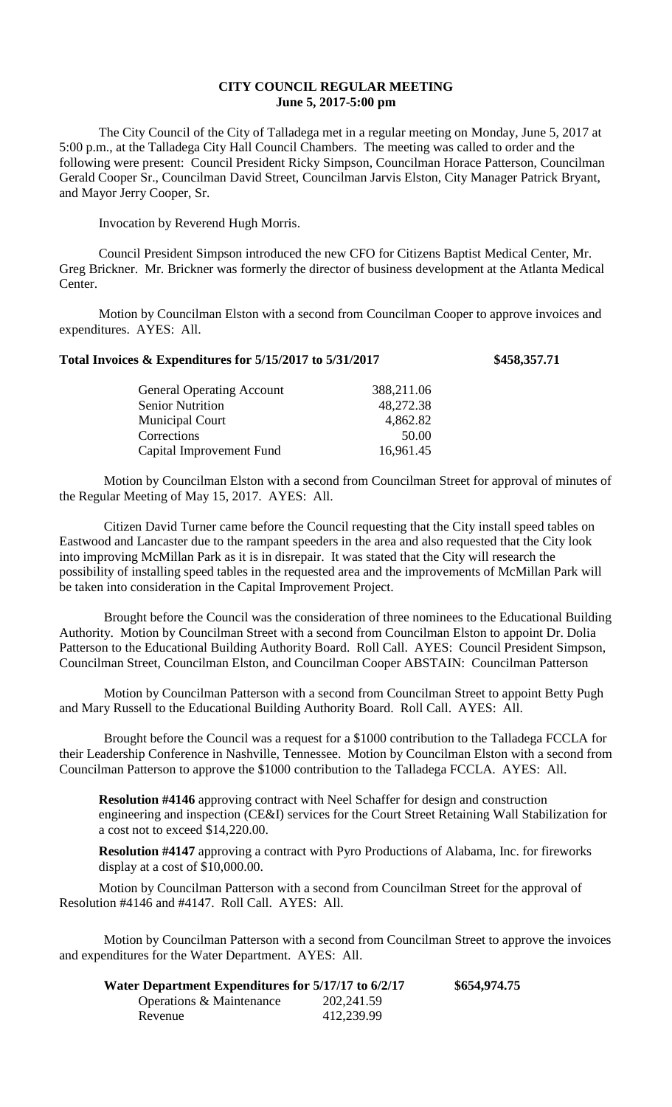## **CITY COUNCIL REGULAR MEETING June 5, 2017-5:00 pm**

The City Council of the City of Talladega met in a regular meeting on Monday, June 5, 2017 at 5:00 p.m., at the Talladega City Hall Council Chambers. The meeting was called to order and the following were present: Council President Ricky Simpson, Councilman Horace Patterson, Councilman Gerald Cooper Sr., Councilman David Street, Councilman Jarvis Elston, City Manager Patrick Bryant, and Mayor Jerry Cooper, Sr.

Invocation by Reverend Hugh Morris.

Council President Simpson introduced the new CFO for Citizens Baptist Medical Center, Mr. Greg Brickner. Mr. Brickner was formerly the director of business development at the Atlanta Medical Center.

Motion by Councilman Elston with a second from Councilman Cooper to approve invoices and expenditures. AYES: All.

## **Total Invoices & Expenditures for 5/15/2017 to 5/31/2017 \$458,357.71**

| <b>General Operating Account</b> | 388,211.06 |
|----------------------------------|------------|
| <b>Senior Nutrition</b>          | 48,272.38  |
| <b>Municipal Court</b>           | 4,862.82   |
| Corrections                      | 50.00      |
| Capital Improvement Fund         | 16,961.45  |
|                                  |            |

Motion by Councilman Elston with a second from Councilman Street for approval of minutes of the Regular Meeting of May 15, 2017. AYES: All.

Citizen David Turner came before the Council requesting that the City install speed tables on Eastwood and Lancaster due to the rampant speeders in the area and also requested that the City look into improving McMillan Park as it is in disrepair. It was stated that the City will research the possibility of installing speed tables in the requested area and the improvements of McMillan Park will be taken into consideration in the Capital Improvement Project.

Brought before the Council was the consideration of three nominees to the Educational Building Authority. Motion by Councilman Street with a second from Councilman Elston to appoint Dr. Dolia Patterson to the Educational Building Authority Board. Roll Call. AYES: Council President Simpson, Councilman Street, Councilman Elston, and Councilman Cooper ABSTAIN: Councilman Patterson

Motion by Councilman Patterson with a second from Councilman Street to appoint Betty Pugh and Mary Russell to the Educational Building Authority Board. Roll Call. AYES: All.

Brought before the Council was a request for a \$1000 contribution to the Talladega FCCLA for their Leadership Conference in Nashville, Tennessee. Motion by Councilman Elston with a second from Councilman Patterson to approve the \$1000 contribution to the Talladega FCCLA. AYES: All.

**Resolution #4146** approving contract with Neel Schaffer for design and construction engineering and inspection (CE&I) services for the Court Street Retaining Wall Stabilization for a cost not to exceed \$14,220.00.

**Resolution #4147** approving a contract with Pyro Productions of Alabama, Inc. for fireworks display at a cost of \$10,000.00.

Motion by Councilman Patterson with a second from Councilman Street for the approval of Resolution #4146 and #4147. Roll Call. AYES: All.

Motion by Councilman Patterson with a second from Councilman Street to approve the invoices and expenditures for the Water Department. AYES: All.

| Water Department Expenditures for 5/17/17 to 6/2/17 |             | \$654,974.75 |
|-----------------------------------------------------|-------------|--------------|
| Operations & Maintenance                            | 202, 241.59 |              |
| Revenue                                             | 412,239.99  |              |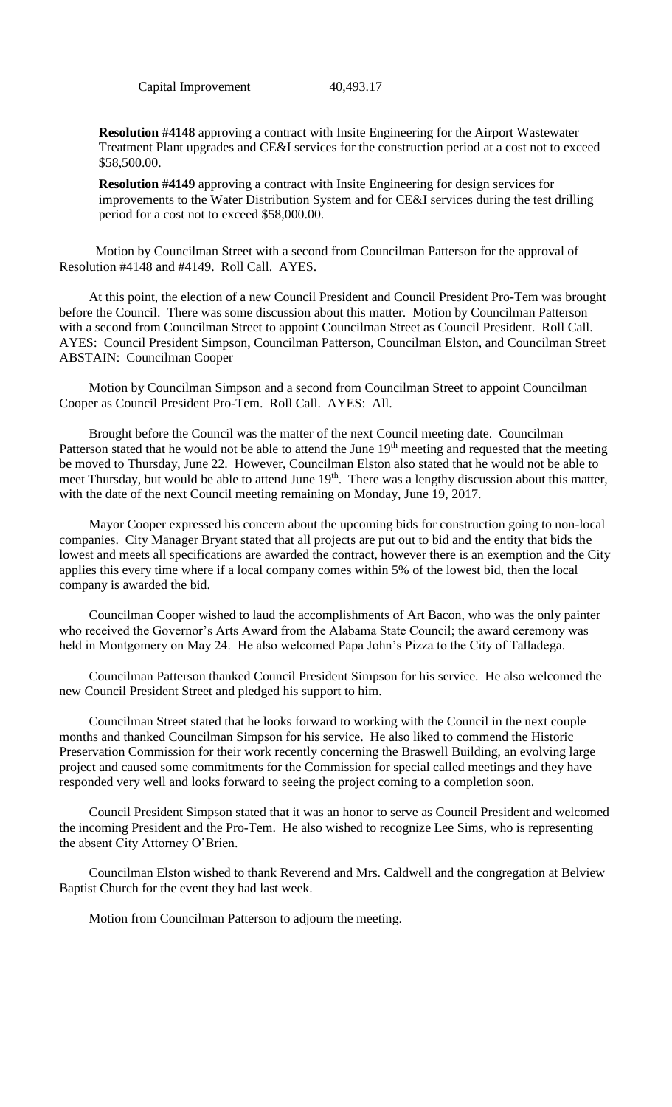Capital Improvement 40,493.17

**Resolution #4148** approving a contract with Insite Engineering for the Airport Wastewater Treatment Plant upgrades and CE&I services for the construction period at a cost not to exceed \$58,500.00.

**Resolution #4149** approving a contract with Insite Engineering for design services for improvements to the Water Distribution System and for CE&I services during the test drilling period for a cost not to exceed \$58,000.00.

 Motion by Councilman Street with a second from Councilman Patterson for the approval of Resolution #4148 and #4149. Roll Call. AYES.

At this point, the election of a new Council President and Council President Pro-Tem was brought before the Council. There was some discussion about this matter. Motion by Councilman Patterson with a second from Councilman Street to appoint Councilman Street as Council President. Roll Call. AYES: Council President Simpson, Councilman Patterson, Councilman Elston, and Councilman Street ABSTAIN: Councilman Cooper

Motion by Councilman Simpson and a second from Councilman Street to appoint Councilman Cooper as Council President Pro-Tem. Roll Call. AYES: All.

Brought before the Council was the matter of the next Council meeting date. Councilman Patterson stated that he would not be able to attend the June 19<sup>th</sup> meeting and requested that the meeting be moved to Thursday, June 22. However, Councilman Elston also stated that he would not be able to meet Thursday, but would be able to attend June 19<sup>th</sup>. There was a lengthy discussion about this matter, with the date of the next Council meeting remaining on Monday, June 19, 2017.

Mayor Cooper expressed his concern about the upcoming bids for construction going to non-local companies. City Manager Bryant stated that all projects are put out to bid and the entity that bids the lowest and meets all specifications are awarded the contract, however there is an exemption and the City applies this every time where if a local company comes within 5% of the lowest bid, then the local company is awarded the bid.

Councilman Cooper wished to laud the accomplishments of Art Bacon, who was the only painter who received the Governor's Arts Award from the Alabama State Council; the award ceremony was held in Montgomery on May 24. He also welcomed Papa John's Pizza to the City of Talladega.

Councilman Patterson thanked Council President Simpson for his service. He also welcomed the new Council President Street and pledged his support to him.

Councilman Street stated that he looks forward to working with the Council in the next couple months and thanked Councilman Simpson for his service. He also liked to commend the Historic Preservation Commission for their work recently concerning the Braswell Building, an evolving large project and caused some commitments for the Commission for special called meetings and they have responded very well and looks forward to seeing the project coming to a completion soon.

Council President Simpson stated that it was an honor to serve as Council President and welcomed the incoming President and the Pro-Tem. He also wished to recognize Lee Sims, who is representing the absent City Attorney O'Brien.

Councilman Elston wished to thank Reverend and Mrs. Caldwell and the congregation at Belview Baptist Church for the event they had last week.

Motion from Councilman Patterson to adjourn the meeting.